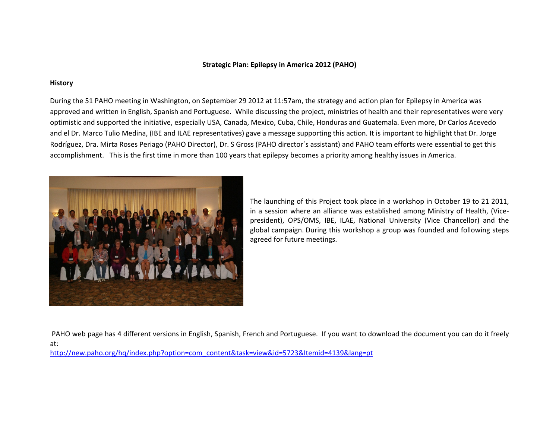## **Strategic Plan: Epilepsy in America 2012 (PAHO)**

### **History**

During the 51 PAHO meeting in Washington, on September 29 2012 at 11:57am, the strategy and action plan for Epilepsy in America was approved and written in English, Spanish and Portuguese. While discussing the project, ministries of health and their representatives were very optimistic and supported the initiative, especially USA, Canada, Mexico, Cuba, Chile, Honduras and Guatemala. Even more, Dr Carlos Acevedo and el Dr. Marco Tulio Medina, (IBE and ILAE representatives) gave <sup>a</sup> message supporting this action. It is important to highlight that Dr. Jorge Rodríguez, Dra. Mirta Roses Periago (PAHO Director), Dr. S Gross (PAHO director´s assistant) and PAHO team efforts were essential to get this accomplishment. This is the first time in more than 100 years that epilepsy becomes <sup>a</sup> priority among healthy issues in America.



The launching of this Project took place in <sup>a</sup> workshop in October 19 to 21 2011, in <sup>a</sup> session where an alliance was established among Ministry of Health, (Vice‐ president), OPS/OMS, IBE, ILAE, National University (Vice Chancellor) and the global campaign. During this workshop <sup>a</sup> group was founded and following steps agreed for future meetings.

PAHO web page has 4 different versions in English, Spanish, French and Portuguese. If you want to download the document you can do it freely at:

[http://new.paho.org/hq/index.php?option=com\\_content&task=view&id=5723&Itemid=4139&lang=pt](http://new.paho.org/hq/index.php?option=com_content&task=view&id=5723&Itemid=4139&lang=pt)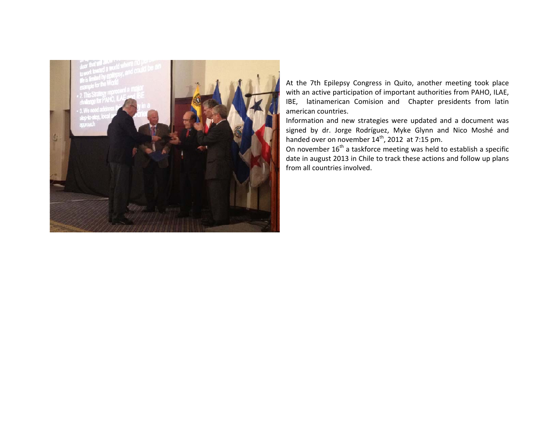

At the 7th Epilepsy Congress in Quito, another meeting took place with an active participation of important authorities from PAHO, ILAE, IBE, latinamerican Comision and Chapter presidents from latin american countries.

Information and new strategies were updated and <sup>a</sup> document was signed by dr. Jorge Rodríguez, Myke Glynn and Nico Moshé and handed over on november 14<sup>th</sup>, 2012 at 7:15 pm.

On november 16<sup>th</sup> a taskforce meeting was held to establish a specific date in august 2013 in Chile to track these actions and follow up plans from all countries involved.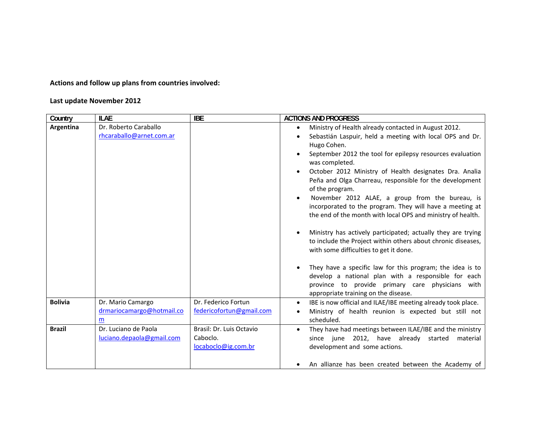**Actions and follow up plans from countries involved:**

#### **Last update November 2012**

| Country        | <b>ILAE</b>               | <b>IBE</b>               | <b>ACTIONS AND PROGRESS</b>                                                              |
|----------------|---------------------------|--------------------------|------------------------------------------------------------------------------------------|
| Argentina      | Dr. Roberto Caraballo     |                          | Ministry of Health already contacted in August 2012.                                     |
|                | rhcaraballo@arnet.com.ar  |                          | Sebastián Laspuir, held a meeting with local OPS and Dr.                                 |
|                |                           |                          | Hugo Cohen.                                                                              |
|                |                           |                          | September 2012 the tool for epilepsy resources evaluation                                |
|                |                           |                          | was completed.                                                                           |
|                |                           |                          | October 2012 Ministry of Health designates Dra. Analia                                   |
|                |                           |                          | Peña and Olga Charreau, responsible for the development                                  |
|                |                           |                          | of the program.                                                                          |
|                |                           |                          | November 2012 ALAE, a group from the bureau, is                                          |
|                |                           |                          | incorporated to the program. They will have a meeting at                                 |
|                |                           |                          | the end of the month with local OPS and ministry of health.                              |
|                |                           |                          |                                                                                          |
|                |                           |                          | Ministry has actively participated; actually they are trying                             |
|                |                           |                          | to include the Project within others about chronic diseases,                             |
|                |                           |                          | with some difficulties to get it done.                                                   |
|                |                           |                          |                                                                                          |
|                |                           |                          | They have a specific law for this program; the idea is to                                |
|                |                           |                          | develop a national plan with a responsible for each                                      |
|                |                           |                          | province to provide primary care physicians with<br>appropriate training on the disease. |
| <b>Bolivia</b> | Dr. Mario Camargo         | Dr. Federico Fortun      | IBE is now official and ILAE/IBE meeting already took place.<br>$\bullet$                |
|                | drmariocamargo@hotmail.co | federicofortun@gmail.com | Ministry of health reunion is expected but still not                                     |
|                | m                         |                          | scheduled.                                                                               |
| <b>Brazil</b>  | Dr. Luciano de Paola      | Brasil: Dr. Luis Octavio | They have had meetings between ILAE/IBE and the ministry<br>$\bullet$                    |
|                | luciano.depaola@gmail.com | Caboclo.                 | since june 2012, have already started<br>material                                        |
|                |                           | locaboclo@ig.com.br      | development and some actions.                                                            |
|                |                           |                          |                                                                                          |
|                |                           |                          | An allianze has been created between the Academy of                                      |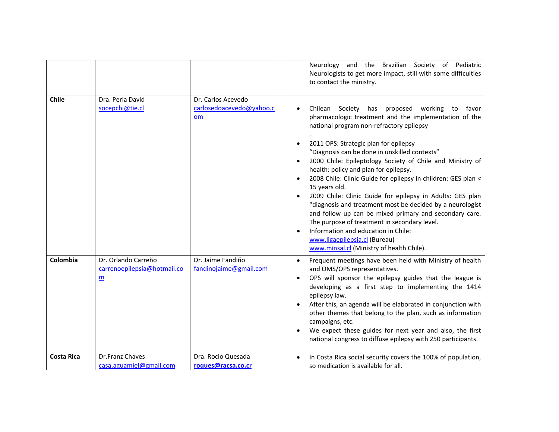|                   |                                                                                |                                                      | Neurology and the Brazilian Society of Pediatric<br>Neurologists to get more impact, still with some difficulties<br>to contact the ministry.                                                                                                                                                                                                                                                                                                                                                                                                                                                                                                                                                                                                                                                          |
|-------------------|--------------------------------------------------------------------------------|------------------------------------------------------|--------------------------------------------------------------------------------------------------------------------------------------------------------------------------------------------------------------------------------------------------------------------------------------------------------------------------------------------------------------------------------------------------------------------------------------------------------------------------------------------------------------------------------------------------------------------------------------------------------------------------------------------------------------------------------------------------------------------------------------------------------------------------------------------------------|
| Chile             | Dra. Perla David<br>socepchi@tie.cl                                            | Dr. Carlos Acevedo<br>carlosedoacevedo@yahoo.c<br>om | proposed working<br>Chilean Society has<br>to<br>favor<br>pharmacologic treatment and the implementation of the<br>national program non-refractory epilepsy<br>2011 OPS: Strategic plan for epilepsy<br>"Diagnosis can be done in unskilled contexts"<br>2000 Chile: Epileptology Society of Chile and Ministry of<br>health: policy and plan for epilepsy.<br>2008 Chile: Clinic Guide for epilepsy in children: GES plan <<br>15 years old.<br>2009 Chile: Clinic Guide for epilepsy in Adults: GES plan<br>"diagnosis and treatment most be decided by a neurologist<br>and follow up can be mixed primary and secondary care.<br>The purpose of treatment in secondary level.<br>Information and education in Chile:<br>www.ligaepilepsia.cl (Bureau)<br>www.minsal.cl (Ministry of health Chile). |
| Colombia          | Dr. Orlando Carreño<br>carrenoepilepsia@hotmail.co<br>$\underline{\mathsf{m}}$ | Dr. Jaime Fandiño<br>fandinojaime@gmail.com          | Frequent meetings have been held with Ministry of health<br>$\bullet$<br>and OMS/OPS representatives.<br>OPS will sponsor the epilepsy guides that the league is<br>developing as a first step to implementing the 1414<br>epilepsy law.<br>After this, an agenda will be elaborated in conjunction with<br>other themes that belong to the plan, such as information<br>campaigns, etc.<br>We expect these guides for next year and also, the first<br>national congress to diffuse epilepsy with 250 participants.                                                                                                                                                                                                                                                                                   |
| <b>Costa Rica</b> | Dr.Franz Chaves<br>casa.aguamiel@gmail.com                                     | Dra. Rocio Quesada<br>roques@racsa.co.cr             | In Costa Rica social security covers the 100% of population,<br>so medication is available for all.                                                                                                                                                                                                                                                                                                                                                                                                                                                                                                                                                                                                                                                                                                    |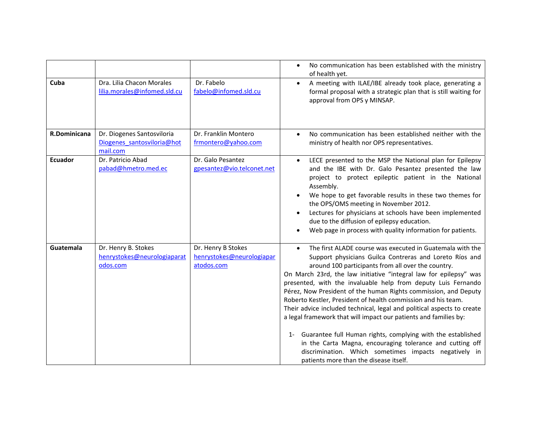|              |                                                                      |                                                               | No communication has been established with the ministry<br>$\bullet$<br>of health yet.                                                                                                                                                                                                                                                                                                                                                                                                                                                                                                                                                                                                                                                                                                                                                            |
|--------------|----------------------------------------------------------------------|---------------------------------------------------------------|---------------------------------------------------------------------------------------------------------------------------------------------------------------------------------------------------------------------------------------------------------------------------------------------------------------------------------------------------------------------------------------------------------------------------------------------------------------------------------------------------------------------------------------------------------------------------------------------------------------------------------------------------------------------------------------------------------------------------------------------------------------------------------------------------------------------------------------------------|
| Cuba         | Dra. Lilia Chacon Morales<br>lilia.morales@infomed.sld.cu            | Dr. Fabelo<br>fabelo@infomed.sld.cu                           | A meeting with ILAE/IBE already took place, generating a<br>formal proposal with a strategic plan that is still waiting for<br>approval from OPS y MINSAP.                                                                                                                                                                                                                                                                                                                                                                                                                                                                                                                                                                                                                                                                                        |
| R.Dominicana | Dr. Diogenes Santosviloria<br>Diogenes santosviloria@hot<br>mail.com | Dr. Franklin Montero<br>frmontero@yahoo.com                   | No communication has been established neither with the<br>$\bullet$<br>ministry of health nor OPS representatives.                                                                                                                                                                                                                                                                                                                                                                                                                                                                                                                                                                                                                                                                                                                                |
| Ecuador      | Dr. Patricio Abad<br>pabad@hmetro.med.ec                             | Dr. Galo Pesantez<br>gpesantez@vio.telconet.net               | LECE presented to the MSP the National plan for Epilepsy<br>and the IBE with Dr. Galo Pesantez presented the law<br>project to protect epileptic patient in the National<br>Assembly.<br>We hope to get favorable results in these two themes for<br>the OPS/OMS meeting in November 2012.<br>Lectures for physicians at schools have been implemented<br>due to the diffusion of epilepsy education.<br>Web page in process with quality information for patients.                                                                                                                                                                                                                                                                                                                                                                               |
| Guatemala    | Dr. Henry B. Stokes<br>henrystokes@neurologiaparat<br>odos.com       | Dr. Henry B Stokes<br>henrystokes@neurologiapar<br>atodos.com | The first ALADE course was executed in Guatemala with the<br>$\bullet$<br>Support physicians Guilca Contreras and Loreto Ríos and<br>around 100 participants from all over the country.<br>On March 23rd, the law initiative "integral law for epilepsy" was<br>presented, with the invaluable help from deputy Luis Fernando<br>Pérez, Now President of the human Rights commission, and Deputy<br>Roberto Kestler, President of health commission and his team.<br>Their advice included technical, legal and political aspects to create<br>a legal framework that will impact our patients and families by:<br>1- Guarantee full Human rights, complying with the established<br>in the Carta Magna, encouraging tolerance and cutting off<br>discrimination. Which sometimes impacts negatively in<br>patients more than the disease itself. |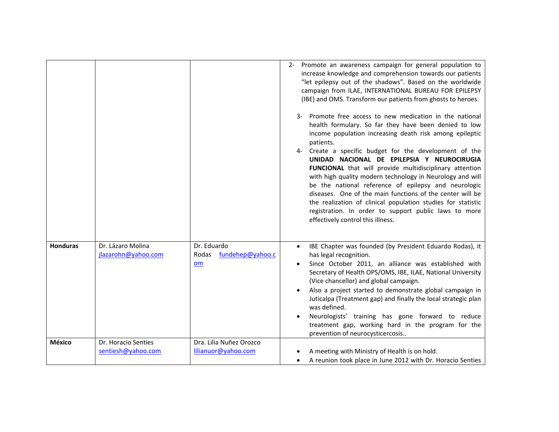|                 |                                           |                                                       | Promote an awareness campaign for general population to<br>$2 -$<br>increase knowledge and comprehension towards our patients<br>"let epilepsy out of the shadows". Based on the worldwide<br>campaign from ILAE, INTERNATIONAL BUREAU FOR EPILEPSY<br>(IBE) and OMS. Transform our patients from ghosts to heroes.<br>3- Promote free access to new medication in the national<br>health formulary. So far they have been denied to low<br>income population increasing death risk among epileptic<br>patients.<br>4- Create a specific budget for the development of the<br>UNIDAD NACIONAL DE EPILEPSIA Y NEUROCIRUGIA<br>FUNCIONAL that will provide multidisciplinary attention<br>with high quality modern technology in Neurology and will<br>be the national reference of epilepsy and neurologic<br>diseases. One of the main functions of the center will be<br>the realization of clinical population studies for statistic<br>registration. In order to support public laws to more<br>effectively control this illness. |
|-----------------|-------------------------------------------|-------------------------------------------------------|--------------------------------------------------------------------------------------------------------------------------------------------------------------------------------------------------------------------------------------------------------------------------------------------------------------------------------------------------------------------------------------------------------------------------------------------------------------------------------------------------------------------------------------------------------------------------------------------------------------------------------------------------------------------------------------------------------------------------------------------------------------------------------------------------------------------------------------------------------------------------------------------------------------------------------------------------------------------------------------------------------------------------------------|
| <b>Honduras</b> | Dr. Lázaro Molina<br>jlazarohn@yahoo.com  | Dr. Eduardo<br>fundehep@yahoo.c<br>Rodas<br><b>om</b> | IBE Chapter was founded (by President Eduardo Rodas), it<br>has legal recognition.<br>Since October 2011, an alliance was established with<br>Secretary of Health OPS/OMS, IBE, ILAE, National University<br>(Vice chancellor) and global campaign.<br>Also a project started to demonstrate global campaign in<br>Juticalpa (Treatment gap) and finally the local strategic plan<br>was defined.<br>Neurologists' training has gone forward to reduce<br>treatment gap, working hard in the program for the<br>prevention of neurocysticercosis                                                                                                                                                                                                                                                                                                                                                                                                                                                                                     |
| México          | Dr. Horacio Senties<br>sentiesh@yahoo.com | Dra. Lilia Nuñez Orozco<br>lilianuor@yahoo.com        | A meeting with Ministry of Health is on hold.                                                                                                                                                                                                                                                                                                                                                                                                                                                                                                                                                                                                                                                                                                                                                                                                                                                                                                                                                                                        |
|                 |                                           |                                                       | A reunion took place in June 2012 with Dr. Horacio Senties                                                                                                                                                                                                                                                                                                                                                                                                                                                                                                                                                                                                                                                                                                                                                                                                                                                                                                                                                                           |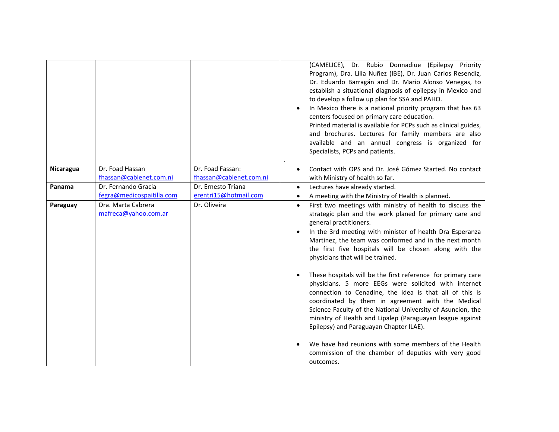|           |                                                  |                                             | (CAMELICE), Dr. Rubio Donnadiue (Epilepsy Priority<br>Program), Dra. Lilia Nuñez (IBE), Dr. Juan Carlos Resendiz,<br>Dr. Eduardo Barragán and Dr. Mario Alonso Venegas, to<br>establish a situational diagnosis of epilepsy in Mexico and<br>to develop a follow up plan for SSA and PAHO.<br>In Mexico there is a national priority program that has 63<br>centers focused on primary care education.<br>Printed material is available for PCPs such as clinical guides,<br>and brochures. Lectures for family members are also<br>available and an annual congress is organized for<br>Specialists, PCPs and patients.                                                                                                                                                                                                                                                                                                    |
|-----------|--------------------------------------------------|---------------------------------------------|-----------------------------------------------------------------------------------------------------------------------------------------------------------------------------------------------------------------------------------------------------------------------------------------------------------------------------------------------------------------------------------------------------------------------------------------------------------------------------------------------------------------------------------------------------------------------------------------------------------------------------------------------------------------------------------------------------------------------------------------------------------------------------------------------------------------------------------------------------------------------------------------------------------------------------|
| Nicaragua | Dr. Foad Hassan<br>fhassan@cablenet.com.ni       | Dr. Foad Fassan:<br>fhassan@cablenet.com.ni | Contact with OPS and Dr. José Gómez Started. No contact<br>$\bullet$<br>with Ministry of health so far.                                                                                                                                                                                                                                                                                                                                                                                                                                                                                                                                                                                                                                                                                                                                                                                                                     |
| Panama    | Dr. Fernando Gracia<br>fegra@medicospaitilla.com | Dr. Ernesto Triana<br>erentri15@hotmail.com | Lectures have already started.<br>$\bullet$<br>A meeting with the Ministry of Health is planned.                                                                                                                                                                                                                                                                                                                                                                                                                                                                                                                                                                                                                                                                                                                                                                                                                            |
| Paraguay  | Dra. Marta Cabrera<br>mafreca@yahoo.com.ar       | Dr. Oliveira                                | First two meetings with ministry of health to discuss the<br>$\bullet$<br>strategic plan and the work planed for primary care and<br>general practitioners.<br>In the 3rd meeting with minister of health Dra Esperanza<br>Martinez, the team was conformed and in the next month<br>the first five hospitals will be chosen along with the<br>physicians that will be trained.<br>These hospitals will be the first reference for primary care<br>physicians. 5 more EEGs were solicited with internet<br>connection to Cenadine, the idea is that all of this is<br>coordinated by them in agreement with the Medical<br>Science Faculty of the National University of Asuncion, the<br>ministry of Health and Lipalep (Paraguayan league against<br>Epilepsy) and Paraguayan Chapter ILAE).<br>We have had reunions with some members of the Health<br>commission of the chamber of deputies with very good<br>outcomes. |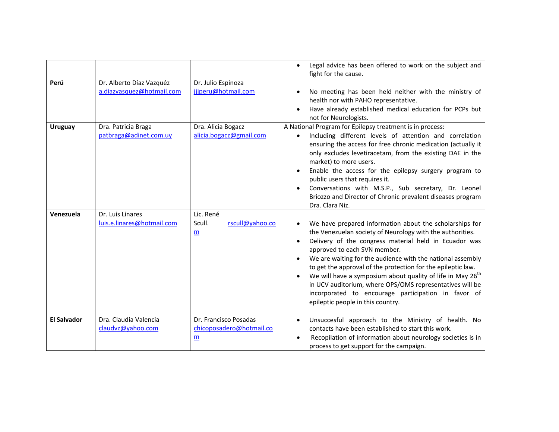|                    |                                                       |                                                                               | Legal advice has been offered to work on the subject and<br>$\bullet$<br>fight for the cause.                                                                                                                                                                                                                                                                                                                                                                                                                                                                       |
|--------------------|-------------------------------------------------------|-------------------------------------------------------------------------------|---------------------------------------------------------------------------------------------------------------------------------------------------------------------------------------------------------------------------------------------------------------------------------------------------------------------------------------------------------------------------------------------------------------------------------------------------------------------------------------------------------------------------------------------------------------------|
| Perú               | Dr. Alberto Díaz Vazquéz<br>a.diazvasquez@hotmail.com | Dr. Julio Espinoza<br>jjjperu@hotmail.com                                     | No meeting has been held neither with the ministry of<br>health nor with PAHO representative.<br>Have already established medical education for PCPs but<br>not for Neurologists.                                                                                                                                                                                                                                                                                                                                                                                   |
| <b>Uruguay</b>     | Dra. Patricia Braga<br>patbraga@adinet.com.uy         | Dra. Alicia Bogacz<br>alicia.bogacz@gmail.com                                 | A National Program for Epilepsy treatment is in process:<br>Including different levels of attention and correlation<br>ensuring the access for free chronic medication (actually it<br>only excludes levetiracetam, from the existing DAE in the<br>market) to more users.<br>Enable the access for the epilepsy surgery program to<br>public users that requires it.<br>Conversations with M.S.P., Sub secretary, Dr. Leonel<br>Briozzo and Director of Chronic prevalent diseases program<br>Dra. Clara Niz.                                                      |
| Venezuela          | Dr. Luis Linares<br>luis.e.linares@hotmail.com        | Lic. René<br>rscull@yahoo.co<br>Scull.<br>$\underline{\mathsf{m}}$            | We have prepared information about the scholarships for<br>the Venezuelan society of Neurology with the authorities.<br>Delivery of the congress material held in Ecuador was<br>approved to each SVN member.<br>We are waiting for the audience with the national assembly<br>to get the approval of the protection for the epileptic law.<br>We will have a symposium about quality of life in May $26th$<br>in UCV auditorium, where OPS/OMS representatives will be<br>incorporated to encourage participation in favor of<br>epileptic people in this country. |
| <b>El Salvador</b> | Dra. Claudia Valencia<br>claudvz@yahoo.com            | Dr. Francisco Posadas<br>chicoposadero@hotmail.co<br>$\underline{\mathbf{m}}$ | Unsuccesful approach to the Ministry of health. No<br>contacts have been established to start this work.<br>Recopilation of information about neurology societies is in<br>process to get support for the campaign.                                                                                                                                                                                                                                                                                                                                                 |